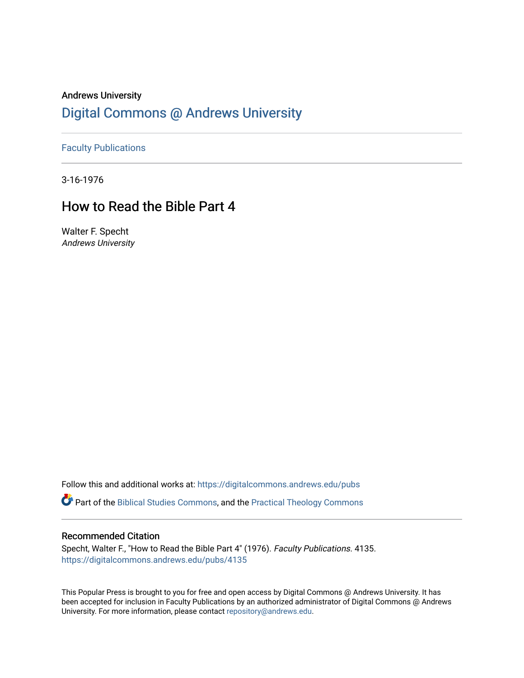## Andrews University [Digital Commons @ Andrews University](https://digitalcommons.andrews.edu/)

[Faculty Publications](https://digitalcommons.andrews.edu/pubs)

3-16-1976

## How to Read the Bible Part 4

Walter F. Specht Andrews University

Follow this and additional works at: [https://digitalcommons.andrews.edu/pubs](https://digitalcommons.andrews.edu/pubs?utm_source=digitalcommons.andrews.edu%2Fpubs%2F4135&utm_medium=PDF&utm_campaign=PDFCoverPages) 

Part of the [Biblical Studies Commons,](http://network.bepress.com/hgg/discipline/539?utm_source=digitalcommons.andrews.edu%2Fpubs%2F4135&utm_medium=PDF&utm_campaign=PDFCoverPages) and the [Practical Theology Commons](http://network.bepress.com/hgg/discipline/1186?utm_source=digitalcommons.andrews.edu%2Fpubs%2F4135&utm_medium=PDF&utm_campaign=PDFCoverPages) 

## Recommended Citation

Specht, Walter F., "How to Read the Bible Part 4" (1976). Faculty Publications. 4135. [https://digitalcommons.andrews.edu/pubs/4135](https://digitalcommons.andrews.edu/pubs/4135?utm_source=digitalcommons.andrews.edu%2Fpubs%2F4135&utm_medium=PDF&utm_campaign=PDFCoverPages) 

This Popular Press is brought to you for free and open access by Digital Commons @ Andrews University. It has been accepted for inclusion in Faculty Publications by an authorized administrator of Digital Commons @ Andrews University. For more information, please contact [repository@andrews.edu](mailto:repository@andrews.edu).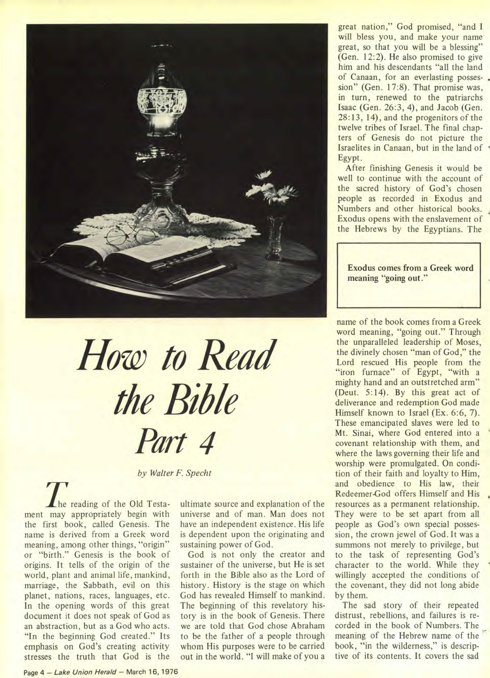

*How to Read the Bible Part* 4

*by Walter F. Specht* 

**The reading of the Old Testa**ment may appropriately begin with the first book, called Genesis. The name is derived from a Greek word meaning, among other things, "origin" or "birth." Genesis is the book of origins. It tells of the origin of the world, plant and animal life, mankind, marriage, the Sabbath, evil on this planet, nations, races, languages, etc. In the opening words of this great document it does not speak of God as an abstraction, but as a God who acts. "In the beginning God created." Its emphasis on God's creating activity stresses the truth that God is the

ultimate source and explanation of the universe and of man. Man does not have an independent existence. His life is dependent upon the originating and sustaining power of God.

God is not only the creator and sustainer of the universe, but He is set forth in the Bible also as the Lord of history. History is the stage on which God has revealed Himself to mankind. The beginning of this revelatory history is in the book of Genesis. There we are told that God chose Abraham to be the father of a people through whom His purposes were to be carried out in the world. "I will make of you a

great nation," God promised, "and I will bless you, and make your name great, so that you will be a blessing" (Gen. 12:2). He also promised to give him and his descendants "all the land of Canaan, for an everlasting posses-, sion" (Gen. 17:8). That promise was, in turn, renewed to the patriarchs Isaac (Gen. 26:3, 4), and Jacob (Gen. 28:13, 14), and the progenitors of the twelve tribes of Israel. The final chapters of Genesis do not picture the Israelites in Canaan, but in the land of Egypt.

After finishing Genesis it would be well to continue with the account of the sacred history of God's chosen people as recorded in Exodus and Numbers and other historical books. Exodus opens with the enslavement of the Hebrews by the Egyptians. The

Exodus comes from a Greek word meaning "going out."

name of the book comes from a Greek word meaning, "going out." Through the unparalleled leadership of Moses, the divinely chosen "man of God," the Lord rescued His people from the "iron furnace" of Egypt, "with a mighty hand and an outstretched arm" (Deut. 5:14). By this great act of deliverance and redemption God made Himself known to Israel (Ex. 6:6, 7). These emancipated slaves were led to Mt. Sinai, where God entered into a covenant relationship with them, and where the laws governing their life and worship were promulgated. On condition of their faith and loyalty to Him, and obedience to His law, their Redeemer-God offers Himself and His resources as a permanent relationship. They were to be set apart from all people as God's own special possession, the crown jewel of God. It was a summons not merely to privilege, but to the task of representing God's character to the world. While they willingly accepted the conditions of the covenant, they did not long abide by them.

The sad story of their repeated distrust, rebellions, and failures is recorded in the book of Numbers. The meaning of the Hebrew name of the book, "in the wilderness," is descriptive of its contents. It covers the sad

**Page 4 —** *Lake Union Herald —* **March 16, 1976**